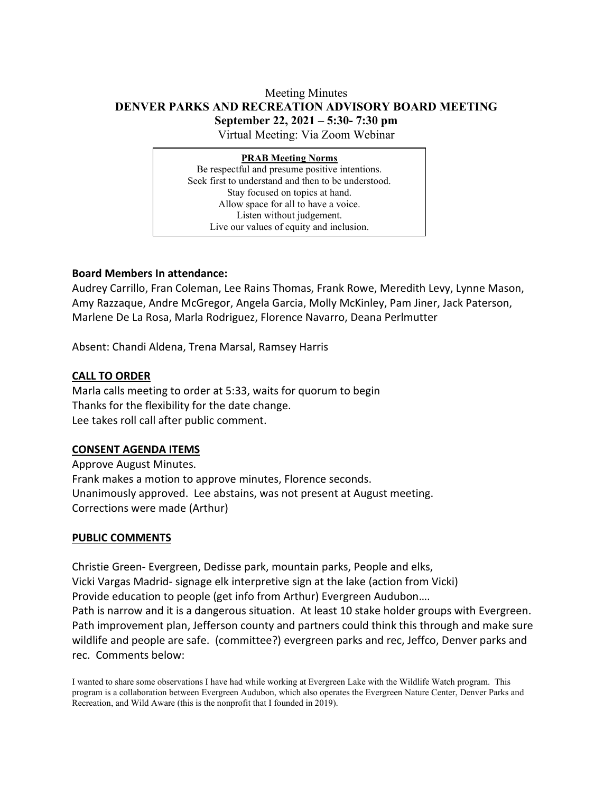### Meeting Minutes **DENVER PARKS AND RECREATION ADVISORY BOARD MEETING September 22, 2021 – 5:30- 7:30 pm** Virtual Meeting: Via Zoom Webinar

**PRAB Meeting Norms** Be respectful and presume positive intentions. Seek first to understand and then to be understood. Stay focused on topics at hand. Allow space for all to have a voice. Listen without judgement. Live our values of equity and inclusion.

### **Board Members In attendance:**

Audrey Carrillo, Fran Coleman, Lee Rains Thomas, Frank Rowe, Meredith Levy, Lynne Mason, Amy Razzaque, Andre McGregor, Angela Garcia, Molly McKinley, Pam Jiner, Jack Paterson, Marlene De La Rosa, Marla Rodriguez, Florence Navarro, Deana Perlmutter

Absent: Chandi Aldena, Trena Marsal, Ramsey Harris

#### **CALL TO ORDER**

Marla calls meeting to order at 5:33, waits for quorum to begin Thanks for the flexibility for the date change. Lee takes roll call after public comment.

### **CONSENT AGENDA ITEMS**

Approve August Minutes. Frank makes a motion to approve minutes, Florence seconds. Unanimously approved. Lee abstains, was not present at August meeting. Corrections were made (Arthur)

#### **PUBLIC COMMENTS**

Christie Green- Evergreen, Dedisse park, mountain parks, People and elks, Vicki Vargas Madrid- signage elk interpretive sign at the lake (action from Vicki) Provide education to people (get info from Arthur) Evergreen Audubon…. Path is narrow and it is a dangerous situation. At least 10 stake holder groups with Evergreen. Path improvement plan, Jefferson county and partners could think this through and make sure wildlife and people are safe. (committee?) evergreen parks and rec, Jeffco, Denver parks and rec. Comments below:

I wanted to share some observations I have had while working at Evergreen Lake with the Wildlife Watch program. This program is a collaboration between Evergreen Audubon, which also operates the Evergreen Nature Center, Denver Parks and Recreation, and Wild Aware (this is the nonprofit that I founded in 2019).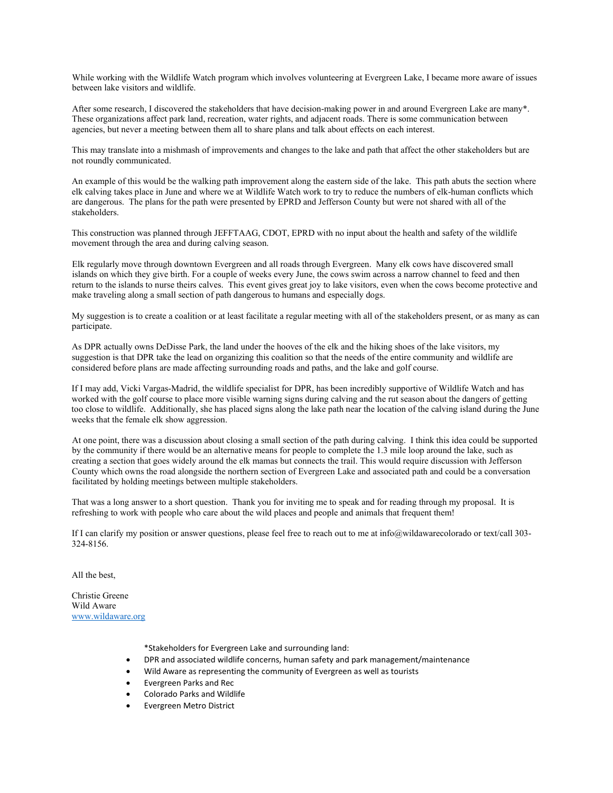While working with the Wildlife Watch program which involves volunteering at Evergreen Lake, I became more aware of issues between lake visitors and wildlife.

After some research, I discovered the stakeholders that have decision-making power in and around Evergreen Lake are many\*. These organizations affect park land, recreation, water rights, and adjacent roads. There is some communication between agencies, but never a meeting between them all to share plans and talk about effects on each interest.

This may translate into a mishmash of improvements and changes to the lake and path that affect the other stakeholders but are not roundly communicated.

An example of this would be the walking path improvement along the eastern side of the lake. This path abuts the section where elk calving takes place in June and where we at Wildlife Watch work to try to reduce the numbers of elk-human conflicts which are dangerous. The plans for the path were presented by EPRD and Jefferson County but were not shared with all of the stakeholders.

This construction was planned through JEFFTAAG, CDOT, EPRD with no input about the health and safety of the wildlife movement through the area and during calving season.

Elk regularly move through downtown Evergreen and all roads through Evergreen. Many elk cows have discovered small islands on which they give birth. For a couple of weeks every June, the cows swim across a narrow channel to feed and then return to the islands to nurse theirs calves. This event gives great joy to lake visitors, even when the cows become protective and make traveling along a small section of path dangerous to humans and especially dogs.

My suggestion is to create a coalition or at least facilitate a regular meeting with all of the stakeholders present, or as many as can participate.

As DPR actually owns DeDisse Park, the land under the hooves of the elk and the hiking shoes of the lake visitors, my suggestion is that DPR take the lead on organizing this coalition so that the needs of the entire community and wildlife are considered before plans are made affecting surrounding roads and paths, and the lake and golf course.

If I may add, Vicki Vargas-Madrid, the wildlife specialist for DPR, has been incredibly supportive of Wildlife Watch and has worked with the golf course to place more visible warning signs during calving and the rut season about the dangers of getting too close to wildlife. Additionally, she has placed signs along the lake path near the location of the calving island during the June weeks that the female elk show aggression.

At one point, there was a discussion about closing a small section of the path during calving. I think this idea could be supported by the community if there would be an alternative means for people to complete the 1.3 mile loop around the lake, such as creating a section that goes widely around the elk mamas but connects the trail. This would require discussion with Jefferson County which owns the road alongside the northern section of Evergreen Lake and associated path and could be a conversation facilitated by holding meetings between multiple stakeholders.

That was a long answer to a short question. Thank you for inviting me to speak and for reading through my proposal. It is refreshing to work with people who care about the wild places and people and animals that frequent them!

If I can clarify my position or answer questions, please feel free to reach out to me at info@wildawarecolorado or text/call 303- 324-8156.

All the best,

Christie Greene Wild Aware [www.wildaware.org](http://www.wildaware.org/)

\*Stakeholders for Evergreen Lake and surrounding land:

- DPR and associated wildlife concerns, human safety and park management/maintenance
- Wild Aware as representing the community of Evergreen as well as tourists
- Evergreen Parks and Rec
- Colorado Parks and Wildlife
- Evergreen Metro District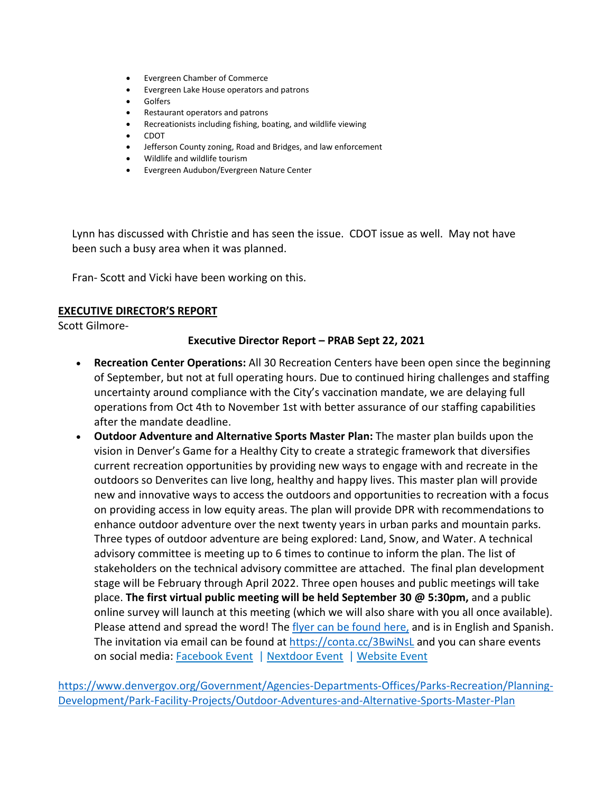- Evergreen Chamber of Commerce
- Evergreen Lake House operators and patrons
- **Golfers**
- Restaurant operators and patrons
- Recreationists including fishing, boating, and wildlife viewing
- CDOT
- Jefferson County zoning, Road and Bridges, and law enforcement
- Wildlife and wildlife tourism
- Evergreen Audubon/Evergreen Nature Center

Lynn has discussed with Christie and has seen the issue. CDOT issue as well. May not have been such a busy area when it was planned.

Fran- Scott and Vicki have been working on this.

### **EXECUTIVE DIRECTOR'S REPORT**

Scott Gilmore-

#### **Executive Director Report – PRAB Sept 22, 2021**

- **Recreation Center Operations:** All 30 Recreation Centers have been open since the beginning of September, but not at full operating hours. Due to continued hiring challenges and staffing uncertainty around compliance with the City's vaccination mandate, we are delaying full operations from Oct 4th to November 1st with better assurance of our staffing capabilities after the mandate deadline.
- **Outdoor Adventure and Alternative Sports Master Plan:** The master plan builds upon the vision in Denver's Game for a Healthy City to create a strategic framework that diversifies current recreation opportunities by providing new ways to engage with and recreate in the outdoors so Denverites can live long, healthy and happy lives. This master plan will provide new and innovative ways to access the outdoors and opportunities to recreation with a focus on providing access in low equity areas. The plan will provide DPR with recommendations to enhance outdoor adventure over the next twenty years in urban parks and mountain parks. Three types of outdoor adventure are being explored: Land, Snow, and Water. A technical advisory committee is meeting up to 6 times to continue to inform the plan. The list of stakeholders on the technical advisory committee are attached.  The final plan development stage will be February through April 2022. Three open houses and public meetings will take place. **The first virtual public meeting will be held September 30 @ 5:30pm,** and a public online survey will launch at this meeting (which we will also share with you all once available). Please attend and spread the word! The [flyer can be found here,](https://www.denvergov.org/files/assets/public/parks-and-recreation/documents/planning/publicmeeting1_09302021_outdooradventuresalternativesports.pdf) and is in English and Spanish. The invitation via email can be found at <https://conta.cc/3BwiNsL> and you can share events on social media: [Facebook Event](https://fb.me/e/6AJyIKV8b) | [Nextdoor Event](https://nextdoor.com/events/4102274?init_source=copy_link_share) | [Website Event](https://tockify.com/denverparksrecreation/detail/193/1633044600000)

[https://www.denvergov.org/Government/Agencies-Departments-Offices/Parks-Recreation/Planning-](https://www.denvergov.org/Government/Agencies-Departments-Offices/Parks-Recreation/Planning-Development/Park-Facility-Projects/Outdoor-Adventures-and-Alternative-Sports-Master-Plan)[Development/Park-Facility-Projects/Outdoor-Adventures-and-Alternative-Sports-Master-Plan](https://www.denvergov.org/Government/Agencies-Departments-Offices/Parks-Recreation/Planning-Development/Park-Facility-Projects/Outdoor-Adventures-and-Alternative-Sports-Master-Plan)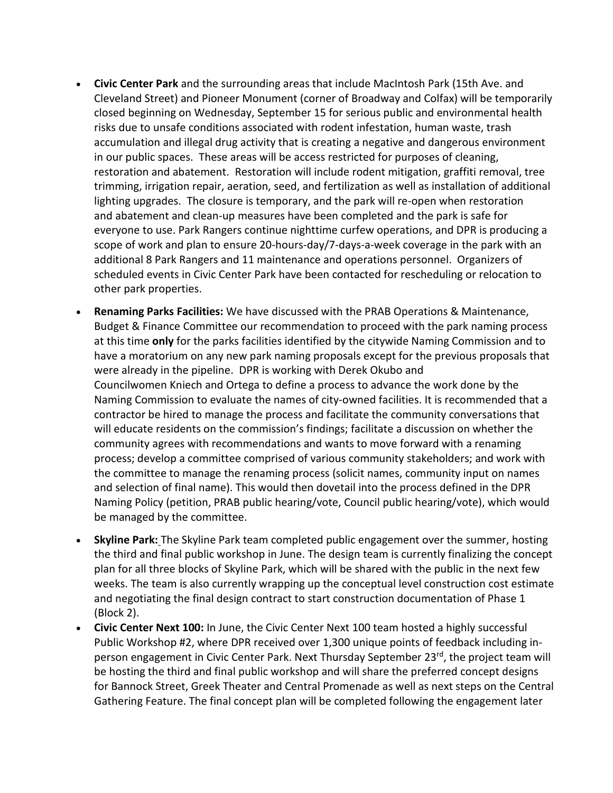- **Civic Center Park** and the surrounding areas that include MacIntosh Park (15th Ave. and Cleveland Street) and Pioneer Monument (corner of Broadway and Colfax) will be temporarily closed beginning on Wednesday, September 15 for serious public and environmental health risks due to unsafe conditions associated with rodent infestation, human waste, trash accumulation and illegal drug activity that is creating a negative and dangerous environment in our public spaces. These areas will be access restricted for purposes of cleaning, restoration and abatement. Restoration will include rodent mitigation, graffiti removal, tree trimming, irrigation repair, aeration, seed, and fertilization as well as installation of additional lighting upgrades. The closure is temporary, and the park will re-open when restoration and abatement and clean-up measures have been completed and the park is safe for everyone to use. Park Rangers continue nighttime curfew operations, and DPR is producing a scope of work and plan to ensure 20-hours-day/7-days-a-week coverage in the park with an additional 8 Park Rangers and 11 maintenance and operations personnel. Organizers of scheduled events in Civic Center Park have been contacted for rescheduling or relocation to other park properties.
- **Renaming Parks Facilities:** We have discussed with the PRAB Operations & Maintenance, Budget & Finance Committee our recommendation to proceed with the park naming process at this time **only** for the parks facilities identified by the citywide Naming Commission and to have a moratorium on any new park naming proposals except for the previous proposals that were already in the pipeline. DPR is working with Derek Okubo and Councilwomen Kniech and Ortega to define a process to advance the work done by the Naming Commission to evaluate the names of city-owned facilities. It is recommended that a contractor be hired to manage the process and facilitate the community conversations that will educate residents on the commission's findings; facilitate a discussion on whether the community agrees with recommendations and wants to move forward with a renaming process; develop a committee comprised of various community stakeholders; and work with the committee to manage the renaming process (solicit names, community input on names and selection of final name). This would then dovetail into the process defined in the DPR Naming Policy (petition, PRAB public hearing/vote, Council public hearing/vote), which would be managed by the committee.
- **Skyline Park:** The Skyline Park team completed public engagement over the summer, hosting the third and final public workshop in June. The design team is currently finalizing the concept plan for all three blocks of Skyline Park, which will be shared with the public in the next few weeks. The team is also currently wrapping up the conceptual level construction cost estimate and negotiating the final design contract to start construction documentation of Phase 1 (Block 2).
- **Civic Center Next 100:** In June, the Civic Center Next 100 team hosted a highly successful Public Workshop #2, where DPR received over 1,300 unique points of feedback including inperson engagement in Civic Center Park. Next Thursday September 23<sup>rd</sup>, the project team will be hosting the third and final public workshop and will share the preferred concept designs for Bannock Street, Greek Theater and Central Promenade as well as next steps on the Central Gathering Feature. The final concept plan will be completed following the engagement later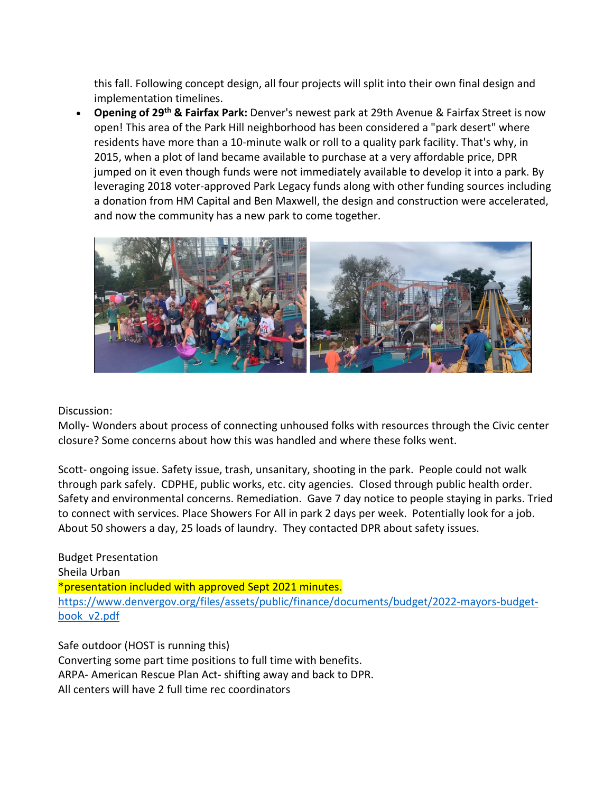this fall. Following concept design, all four projects will split into their own final design and implementation timelines.

• **Opening of 29th & Fairfax Park:** Denver's newest park at 29th Avenue & Fairfax Street is now open! This area of the Park Hill neighborhood has been considered a "park desert" where residents have more than a 10-minute walk or roll to a quality park facility. That's why, in 2015, when a plot of land became available to purchase at a very affordable price, DPR jumped on it even though funds were not immediately available to develop it into a park. By leveraging 2018 voter-approved Park Legacy funds along with other funding sources including a donation from HM Capital and Ben Maxwell, the design and construction were accelerated, and now the community has a new park to come together.



Discussion:

Molly- Wonders about process of connecting unhoused folks with resources through the Civic center closure? Some concerns about how this was handled and where these folks went.

Scott- ongoing issue. Safety issue, trash, unsanitary, shooting in the park. People could not walk through park safely. CDPHE, public works, etc. city agencies. Closed through public health order. Safety and environmental concerns. Remediation. Gave 7 day notice to people staying in parks. Tried to connect with services. Place Showers For All in park 2 days per week. Potentially look for a job. About 50 showers a day, 25 loads of laundry. They contacted DPR about safety issues.

Budget Presentation Sheila Urban \*presentation included with approved Sept 2021 minutes. [https://www.denvergov.org/files/assets/public/finance/documents/budget/2022-mayors-budget](https://www.denvergov.org/files/assets/public/finance/documents/budget/2022-mayors-budget-book_v2.pdf)[book\\_v2.pdf](https://www.denvergov.org/files/assets/public/finance/documents/budget/2022-mayors-budget-book_v2.pdf)

Safe outdoor (HOST is running this) Converting some part time positions to full time with benefits. ARPA- American Rescue Plan Act- shifting away and back to DPR. All centers will have 2 full time rec coordinators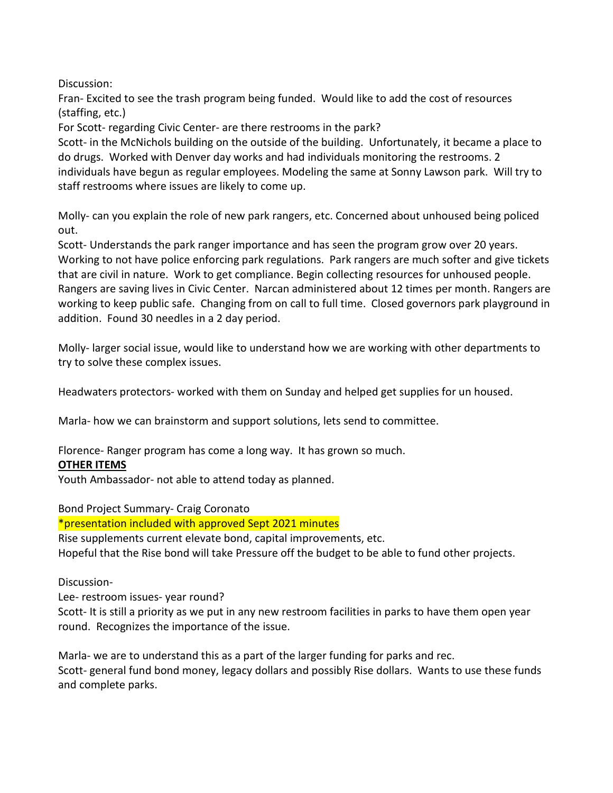Discussion:

Fran- Excited to see the trash program being funded. Would like to add the cost of resources (staffing, etc.)

For Scott- regarding Civic Center- are there restrooms in the park?

Scott- in the McNichols building on the outside of the building. Unfortunately, it became a place to do drugs. Worked with Denver day works and had individuals monitoring the restrooms. 2 individuals have begun as regular employees. Modeling the same at Sonny Lawson park. Will try to staff restrooms where issues are likely to come up.

Molly- can you explain the role of new park rangers, etc. Concerned about unhoused being policed out.

Scott- Understands the park ranger importance and has seen the program grow over 20 years. Working to not have police enforcing park regulations. Park rangers are much softer and give tickets that are civil in nature. Work to get compliance. Begin collecting resources for unhoused people. Rangers are saving lives in Civic Center. Narcan administered about 12 times per month. Rangers are working to keep public safe. Changing from on call to full time. Closed governors park playground in addition. Found 30 needles in a 2 day period.

Molly- larger social issue, would like to understand how we are working with other departments to try to solve these complex issues.

Headwaters protectors- worked with them on Sunday and helped get supplies for un housed.

Marla- how we can brainstorm and support solutions, lets send to committee.

Florence- Ranger program has come a long way. It has grown so much.

# **OTHER ITEMS**

Youth Ambassador- not able to attend today as planned.

Bond Project Summary- Craig Coronato

\*presentation included with approved Sept 2021 minutes

Rise supplements current elevate bond, capital improvements, etc. Hopeful that the Rise bond will take Pressure off the budget to be able to fund other projects.

# Discussion-

Lee- restroom issues- year round?

Scott- It is still a priority as we put in any new restroom facilities in parks to have them open year round. Recognizes the importance of the issue.

Marla- we are to understand this as a part of the larger funding for parks and rec. Scott- general fund bond money, legacy dollars and possibly Rise dollars. Wants to use these funds and complete parks.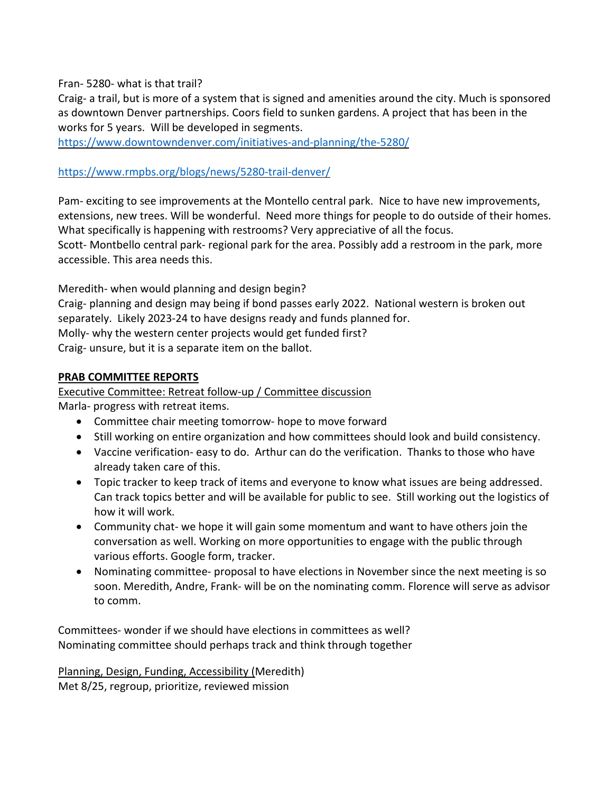## Fran- 5280- what is that trail?

Craig- a trail, but is more of a system that is signed and amenities around the city. Much is sponsored as downtown Denver partnerships. Coors field to sunken gardens. A project that has been in the works for 5 years. Will be developed in segments.

<https://www.downtowndenver.com/initiatives-and-planning/the-5280/>

# <https://www.rmpbs.org/blogs/news/5280-trail-denver/>

Pam- exciting to see improvements at the Montello central park. Nice to have new improvements, extensions, new trees. Will be wonderful. Need more things for people to do outside of their homes. What specifically is happening with restrooms? Very appreciative of all the focus. Scott- Montbello central park- regional park for the area. Possibly add a restroom in the park, more accessible. This area needs this.

Meredith- when would planning and design begin? Craig- planning and design may being if bond passes early 2022. National western is broken out separately. Likely 2023-24 to have designs ready and funds planned for. Molly- why the western center projects would get funded first? Craig- unsure, but it is a separate item on the ballot.

# **PRAB COMMITTEE REPORTS**

Executive Committee: Retreat follow-up / Committee discussion Marla- progress with retreat items.

- Committee chair meeting tomorrow- hope to move forward
- Still working on entire organization and how committees should look and build consistency.
- Vaccine verification- easy to do. Arthur can do the verification. Thanks to those who have already taken care of this.
- Topic tracker to keep track of items and everyone to know what issues are being addressed. Can track topics better and will be available for public to see. Still working out the logistics of how it will work.
- Community chat- we hope it will gain some momentum and want to have others join the conversation as well. Working on more opportunities to engage with the public through various efforts. Google form, tracker.
- Nominating committee- proposal to have elections in November since the next meeting is so soon. Meredith, Andre, Frank- will be on the nominating comm. Florence will serve as advisor to comm.

Committees- wonder if we should have elections in committees as well? Nominating committee should perhaps track and think through together

Planning, Design, Funding, Accessibility (Meredith) Met 8/25, regroup, prioritize, reviewed mission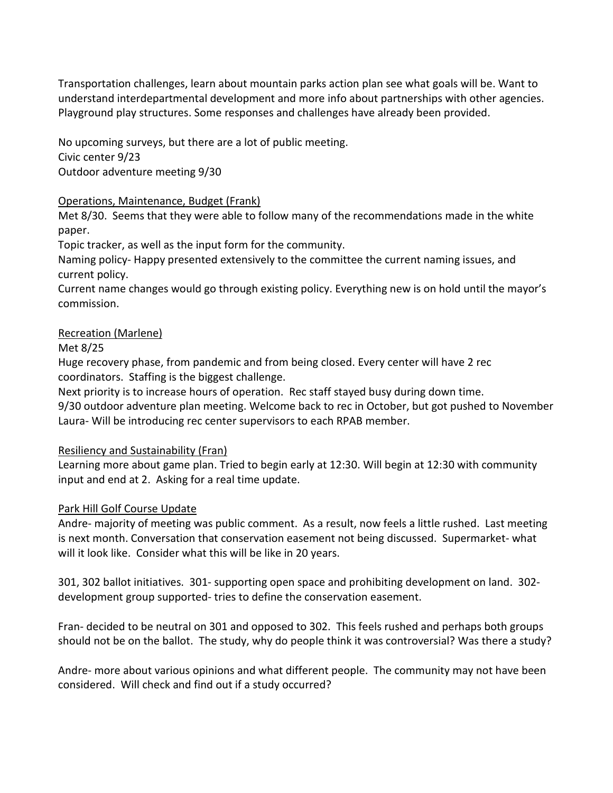Transportation challenges, learn about mountain parks action plan see what goals will be. Want to understand interdepartmental development and more info about partnerships with other agencies. Playground play structures. Some responses and challenges have already been provided.

No upcoming surveys, but there are a lot of public meeting. Civic center 9/23 Outdoor adventure meeting 9/30

## Operations, Maintenance, Budget (Frank)

Met 8/30. Seems that they were able to follow many of the recommendations made in the white paper.

Topic tracker, as well as the input form for the community.

Naming policy- Happy presented extensively to the committee the current naming issues, and current policy.

Current name changes would go through existing policy. Everything new is on hold until the mayor's commission.

## Recreation (Marlene)

## Met 8/25

Huge recovery phase, from pandemic and from being closed. Every center will have 2 rec coordinators. Staffing is the biggest challenge.

Next priority is to increase hours of operation. Rec staff stayed busy during down time.

9/30 outdoor adventure plan meeting. Welcome back to rec in October, but got pushed to November Laura- Will be introducing rec center supervisors to each RPAB member.

### Resiliency and Sustainability (Fran)

Learning more about game plan. Tried to begin early at 12:30. Will begin at 12:30 with community input and end at 2. Asking for a real time update.

# Park Hill Golf Course Update

Andre- majority of meeting was public comment. As a result, now feels a little rushed. Last meeting is next month. Conversation that conservation easement not being discussed. Supermarket- what will it look like. Consider what this will be like in 20 years.

301, 302 ballot initiatives. 301- supporting open space and prohibiting development on land. 302 development group supported- tries to define the conservation easement.

Fran- decided to be neutral on 301 and opposed to 302. This feels rushed and perhaps both groups should not be on the ballot. The study, why do people think it was controversial? Was there a study?

Andre- more about various opinions and what different people. The community may not have been considered. Will check and find out if a study occurred?